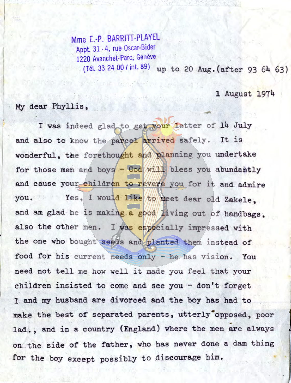Mme E.-P. BARRITT-PLAYEL Appt. 31 - 4, rue Oscar-Bider 1220 Avanchet-Parc, Genève (Tél. 33 24 00 / int. 89) up to 20 Aug. (after 93 64 63)

1 August 1974

My dear Phyllis,

I was indeed glad to get your letter of 14 July and also to know the parcel arrived safely. It is wonderful, the forethought and planning you undertake for those men and boys  $-$  God will bless you abundantly and cause your children to revere you for it and admire vou. Yes, I would like to meet dear old Zakele, and am glad he is making a good living out of handbags. also the other men. I was especially impressed with the one who bought seeds and planted them instead of food for his current needs only - he has vision. You need not tell me how well it made you feel that your children insisted to come and see you - don't forget 1' and my husband are divorced and the boy has had to make the best of separated parents, utterly opposed, poor lad., and in a country (England) where the men are always on the side of the father, who has never done a dam thing for the boy except possibly to discourage him.